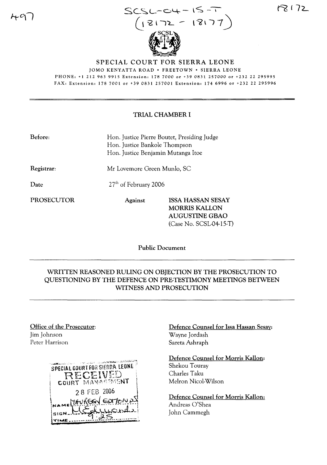

72

SPECIAL COURT FOR SIERRA LEONE

JOMO KENYATTA ROAD· FREETOWN· SIERRA LEONE PHONE, +1 212 963 9915 Extension, 178 7000 or +39 0831 257000 or +232 22 295995 FAX, Extension: 1787001 or +39 0831257001 Extension, 1746996 or +232 22 295996

## TRIAL CHAMBER I

| Before: | Hon. Justice Pierre Boutet, Presiding Judge |
|---------|---------------------------------------------|
|         | Hon. Justice Bankole Thompson               |
|         | Hon. Justice Benjamin Mutanga Itoe          |

Registrar:

Date

27<sup>th</sup> of February 2006

Mr Lovemore Green Munlo, SC

PROSECUTOR Against ISSA HASSAN SESAY MORRIS KALLON AUGUSTINE GBAO (Case No. SCSL-04-15-T)

Public Document

# WRITTEN REASONED RULING ON OBJECTION BY THE PROSECUTION TO QUESTIONING BY THE DEFENCE ON PRE-TESTIMONY MEETINGS BETWEEN WITNESS AND PROSECUTION

## Office of the Prosecutor: Jim Johnson Peter Harrison



Defence Counsel for lssa Hassan Sesay: Wayne Jordash Sareta Ashraph

Defence Counsel for Morris Kallon: Shekou Touray Charles Taku Melron Nicol-Wilson

Defence Counsel for Morris Kallon: Andreas O'Shea John Cammegh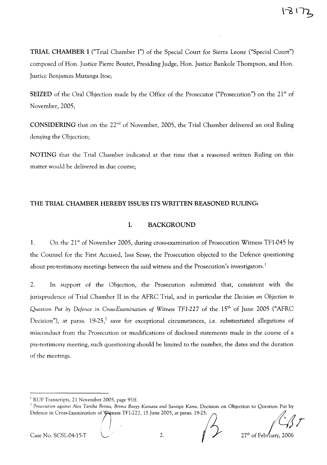**TRIAL CHAMBER I** ("Trial Chamber I") of the Special Court for Sierra Leone ("Special Court") composed of Hon. Justice Pierre Boutet, Presiding Judge, Hon. Justice Bankole Thompson, and Hon. Justice Benjamin Mutanga Itoe;

**SEIZED** of the Oral Objection made by the Office of the Prosecutor ("Prosecution") on the 21<sup>st</sup> of November, 2005;

**CONSIDERING** that on the 22<sup>nd</sup> of November, 2005, the Trial Chamber delivered an oral Ruling denying the Objection;

**NOTING** that the Trial Chamber indicated at that time that a reasoned written Ruling on this matter would be delivered in due course;

#### **THE TRIAL CHAMBER HEREBY** ISSUES **ITS WRITTEN REASONED RULING:**

#### **1. BACKGROUND**

1. On the 21<sup>st</sup> of November 2005, during cross-examination of Prosecution Witness TF1-045 by the Counsel for the First Accused, Issa Sesay, the Prosecution objected to the Defence questioning about pre-testimony meetings between the said witness and the Prosecution's investigators.<sup>1</sup>

2. In support of the Objection, the Prosecution submitted that, consistent with the jurisprudence of Trial Chamber II in the AFRC Trial, and in particular the *Decision* on *Objection* to *Question Put* by *Defence* in *Cross-Examination of Witness TFl-22* 7 of the 15th of June 2005 ("AFRC Decision"), at paras.  $19-25$ , save for exceptional circumstances, i.e. substantiated allegations of misconduct from the Prosecution or modifications of disclosed statements made in the course of a pre-testimony meeting, such questioning should be limited to the number, the dates and the duration of the meetings.

Case No. SCSL-04-15-T  $\bigcup$  2.

<sup>&</sup>lt;sup>1</sup> RUF Transcripts, 21 November 2005, page 91ff.

<sup>C</sup> *Prosecution against Alex Tamba Brima, Brima BazZ) Kamara and Santigie Kanu,* Decision on Objection to Question Put by RUF Transcripts, 21 November 2005, page 9111.<br><sup>2</sup> Prosecution against Alex Tamba Brima, Brima Bazzy Kamara and Santigie Kanu, Decision on Objection to Question Put by<br>Defence in Cross-Examination of Witness TF1-227, 15 Jun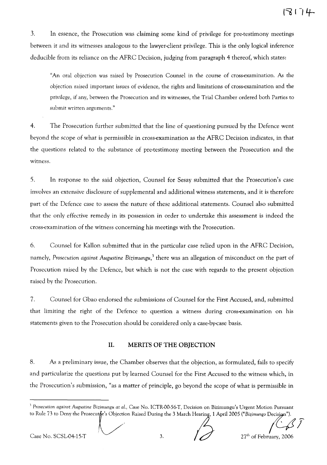3. In essence, the Prosecution was claiming some kind of privilege for pre-testimony meetings between it and its witnesses analogous to the lawyer-client privilege. This is the only logical inference deducible from its reliance on the AFRC Decision, judging from paragraph 4 thereof, which states:

"An oral objection was raised by Prosecution Counsel in the course of cross-examination. As the objection raised important issues of evidence, the rights and limitations of cross-examination and the privilege, if any, between the Prosecution and its witnesses, the Trial Chamber ordered both Parties to submit written arguments."

4. The Prosecution further submitted that the line of questioning pursued by the Defence went beyond the scope of what is permissible in cross-examination as the AFRC Decision indicates, in that the questions related to the substance of pre-testimony meeting between the Prosecution and the witness.

5. In response to the said objection, Counsel for Sesay submitted that the Prosecution's case involves an extensive disclosure of supplemental and additional witness statements, and it is therefore part of the Defence case to assess the nature of these additional statements. Counsel also submitted that the only effective remedy in its possession in order to undertake this assessment is indeed the cross-examination of the witness concerning his meetings with the Prosecution.

6. Counsel for Kallon submitted that in the particular case relied upon in the AFRC Decision, namely, *Prosecution against Augustine Bizimungu/* there was an allegation of misconduct on the part of Prosecution raised by the Defence, but which is not the case with regards to the present objection raised by the Prosecution.

7. Counsel for Gbao endorsed the submissions of Counsel for the First Accused, and, submitted that limiting the right of the Defence to question a witness during cross-examination on his statements given to the Prosecution should be considered only a case-by-case basis.

#### **II. MERITS OF THE OBJECTION**

8. As a preliminary issue, the Chamber observes that the objection, as formulated, fails to specify and particularize the questions put by learned Counsel for the First Accused to the witness which, in the Prosecution's submission, "as a matter of principle, go beyond the scope of what is permissible in

Case No. SCSL04-15-T  $\bigotimes$  3. IJ 27<sup>th</sup> of February, 2006

<sup>1</sup> *Prosecution against Augustine Bizimungu at al.,* Case No. ICTR-OO.56·T, Decision on Bizimungu's Urgent Motion Pursuant to Rule 73 to Deny the Prosecutor's Objection Raised During the 3 March Hearing, 1 April 2005 ("Bizimungo Decisign").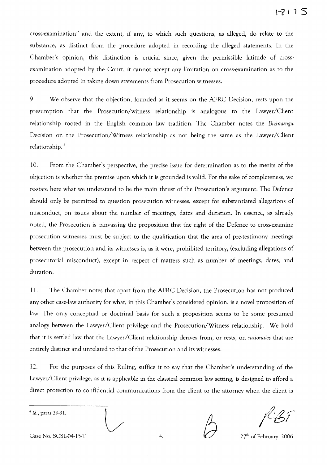cross-examination" and the extent, if any, to which such questions, as alleged, do relate to the substance, as distinct from the procedure adopted in recording the alleged statements. In the Chamber's opinion, this distinction is crucial since, given the permissible latitude of crossexamination adopted by the Court, it cannot accept any limitation on cross-examination as to the procedure adopted in taking down statements from Prosecution witnesses.

9. We observe that the objection, founded as it seems on the AFRC Decision, rests upon the presumption that the Prosecution/witness relationship is analogous to the Lawyer/Client relationship rooted in the English common law tradition. The Chamber notes the *Bizimungu* Decision on the Prosecution/Witness relationship as not being the same as the Lawyer/Client relationship. <sup>4</sup>

10. From the Chamber's perspective, the precise issue for determination as to the merits of the objection is whether the premise upon which it is grounded is valid. For the sake of completeness, we re-state here what we understand to be the main thrust of the Prosecution's argument: The Defence should only be permitted to question prosecution witnesses, except for substantiated allegations of misconduct, on issues about the number of meetings, dates and duration. In essence, as already noted, the Prosecution is canvassing the proposition that the right of the Defence to cross-examine prosecution witnesses must be subject to the qualification that the area of pre-testimony meetings between the prosecution and its witnesses is, as it were, prohibited territory, (excluding allegations of prosecutorial misconduct), except in respect of matters such as number of meetings, dates, and duration.

11. The Chamber notes that apart from the AFRC Decision, the Prosecution has not produced any other case-law authority for what, in this Chamber's considered opinion, is a novel proposition of law. The only conceptual or doctrinal basis for such a proposition seems to be some presumed analogy between the Lawyer/Client privilege and the Prosecution/Witness relationship. We hold that it is settled law that the Lawyer/Client relationship derives from, or rests, on *rationales* that are entirely distinct and unrelated to that of the Prosecution and its witnesses.

12. For the purposes of this Ruling, suffice it to say that the Chamber's understanding of the Lawyer/Client privilege, as it is applicable in the classical common law setting, is designed to afford a direct protection to confidential communications from the client to the attorney when the client is

<sup>4</sup> Id., paras 29-31.

*f* (51

Case No. SCSL-04-15-T 4.

27<sup>th</sup> of February, 2006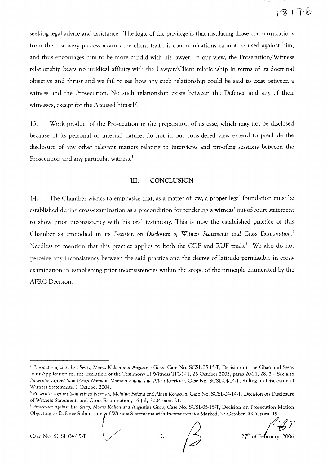seeking legal advice and assistance. The logic of the privilege is that insulating those communications from the discovery process assures the client that his communications cannot be used against him, and thus encourages him to be more candid with his lawyer. In our view, the Prosecution/Witness relationship bears no juridical affinity with the Lawyer/Client relationship in terms of its doctrinal objective and thrust and we fail to see how any such relationship could be said to exist between a witness and the Prosecution. No such relationship exists between the Defence and any of their witnesses, except for the Accused himself.

13. Work product of the Prosecution in the preparation of its case, which may not be disclosed because of its personal or internal nature, do not in our considered view extend to preclude the disclosure of any other relevant matters relating to interviews and proofing sessions between the Prosecution and any particular witness.<sup>5</sup>

## **Ill. CONCLUSION**

14. The Chamber wishes to emphasize that, as a matter of law, a proper legal foundation must be established dUring cross-examination as a precondition for tendering a witness' out-of-court statement to show prior inconsistency with his oral testimony. This is now the established practice of this Chamber as embodied in its *Decision* on *Disclosure of Witness Statements and Cross Examination. <sup>6</sup>* Needless to mention that this practice applies to both the CDF and RUF trials.<sup>7</sup> We also do not perceive any inconsistency between the said practice and the degree of latitude permissible in crossexamination in establishing prior inconsistencies within the scope of the principle enunciated by the AFRC Decision.

Case No. SCSL04-15-T<br>Case No. SCSL04-15-T<br>5. (3) 27<sup>th</sup> of February, 2006

*<sup>5</sup> Prosecutor against Issa Sesay,* Morris *KaHon and Augustine Gbao,* Case No. SCSL-05-15-T, Decision on the Gbao and Sesay Joint Application for the Exclusion of the Testimony of Witness TFl-141, 26 October 2005, paras 20-21, 28, 34. See also *Prosecutor against Sam Hinga Norman, Moinina Fofana and* AHieu *Kondewa,* Case No. SCSL-04-14-T, Ruling on Disclosure of Witness Statements, 1 October 2004.

*<sup>6</sup> Prosecutor against Sam Hinga Norman, Moinina Fofana and* AHieu *Kondewa,* Case No. SCSL-04-14-T, Decision on Disclosure of Witness Statements and Cross Examination, 16 July 2004 para. 21.

*<sup>7</sup> Prosecutor against Issa Sesay,* Morris *KaHon and Augustine Gbao,* Case No. SCSL-05-15-T, Decision on Prosecution Motion Objecting to Defence Submissions of Witness Statements with Inconsistencies Marked, 27 October 2005, para. 19.